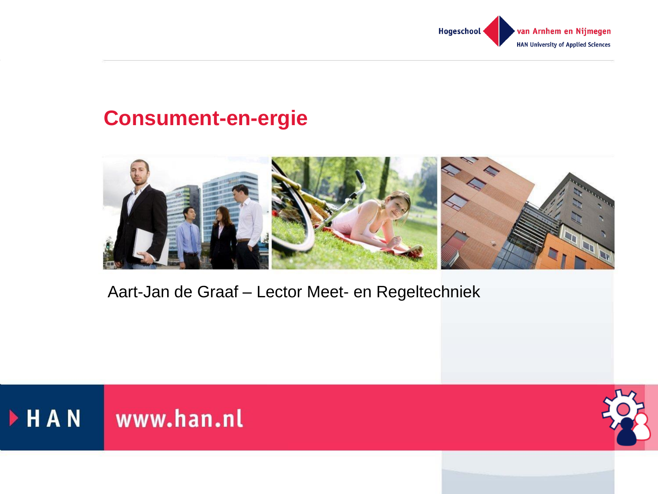

#### **Consument-en-ergie**



Aart-Jan de Graaf – Lector Meet- en Regeltechniek



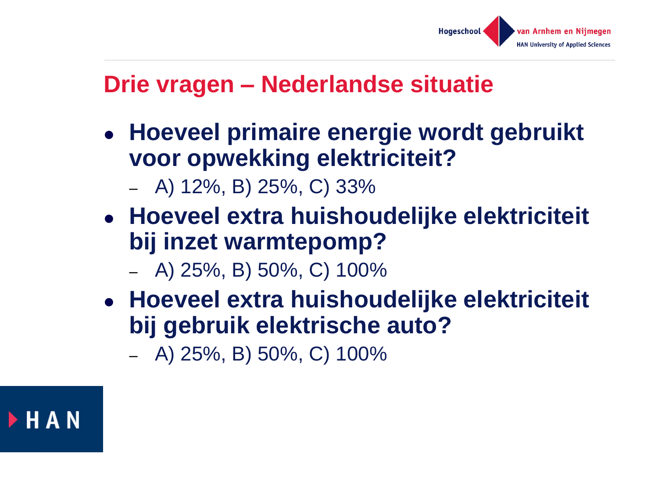

#### **Drie vragen – Nederlandse situatie**

- **Hoeveel primaire energie wordt gebruikt voor opwekking elektriciteit?**
	- A) 12%, B) 25%, C) 33%
- **Hoeveel extra huishoudelijke elektriciteit bij inzet warmtepomp?**
	- A) 25%, B) 50%, C) 100%
- **Hoeveel extra huishoudelijke elektriciteit bij gebruik elektrische auto?**

– A) 25%, B) 50%, C) 100%

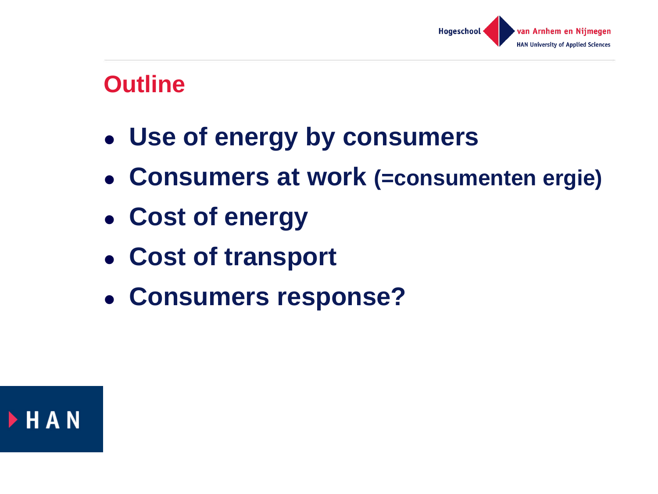

#### **Outline**

- **Use of energy by consumers**
- **Consumers at work (=consumenten ergie)**
- **Cost of energy**
- **Cost of transport**
- **Consumers response?**

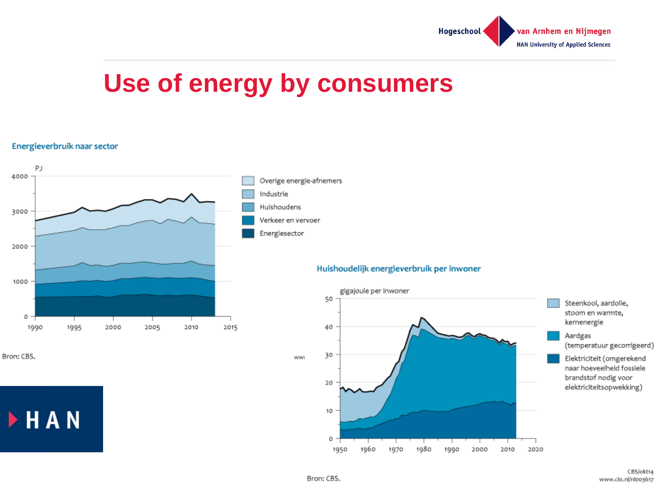

# **Use of energy by consumers**

#### Energieverbruik naar sector



Bron: CBS.

HAN

#### Huishoudelijk energieverbruik per inwoner

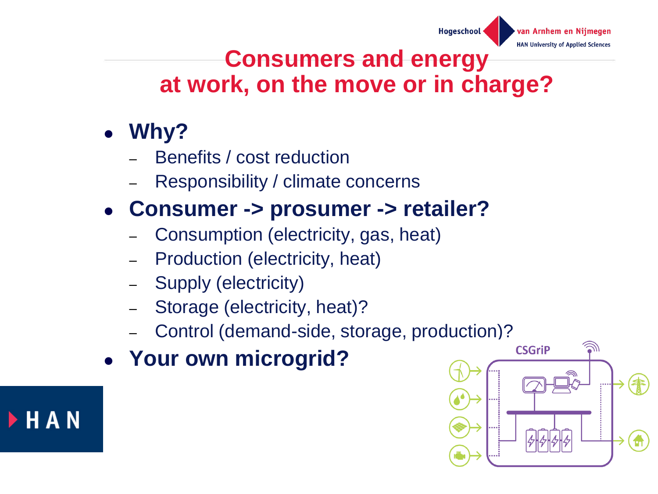

### **Consumers and energy at work, on the move or in charge?**

- **Why?**
	- Benefits / cost reduction
	- Responsibility / climate concerns

### **Consumer -> prosumer -> retailer?**

- Consumption (electricity, gas, heat)
- Production (electricity, heat)
- Supply (electricity)
- Storage (electricity, heat)?
- Control (demand-side, storage, production)?
- **Your own microgrid?**



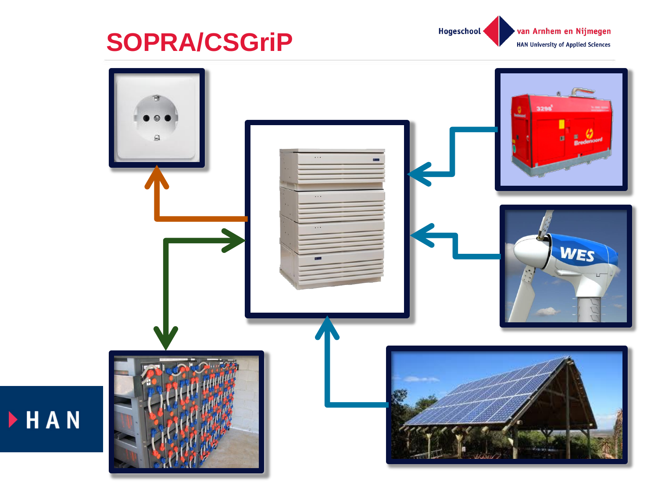

HAN



van Arnhem en Nijmegen **HAN University of Applied Sciences** 

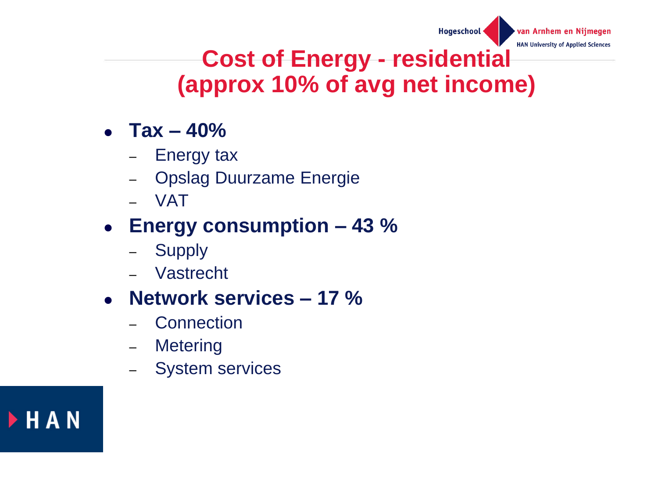Hogeschool

**HAN University** 

## **Cost of Energy - residential (approx 10% of avg net income)**

- **Tax – 40%**
	- Energy tax
	- Opslag Duurzame Energie
	- VAT

### **Energy consumption – 43 %**

- Supply
- Vastrecht

#### **Network services – 17 %**

- **Connection**
- Metering
- System services

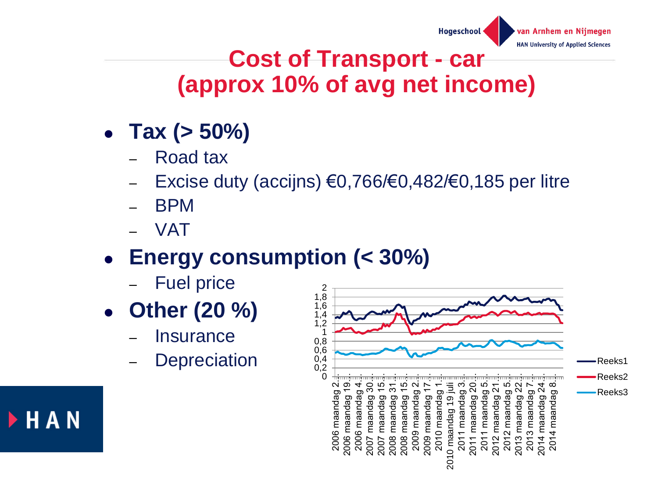

### **Cost of Transport - car (approx 10% of avg net income)**

- **Tax (> 50%)**
	- Road tax
	- Excise duty (accijns) €0,766/€0,482/€0,185 per litre
	- BPM
	- VAT

▶ H A N

## **Energy consumption (< 30%)**

- **Fuel price**
- **Other (20 %)**
	- **Insurance**
	- **Depreciation**